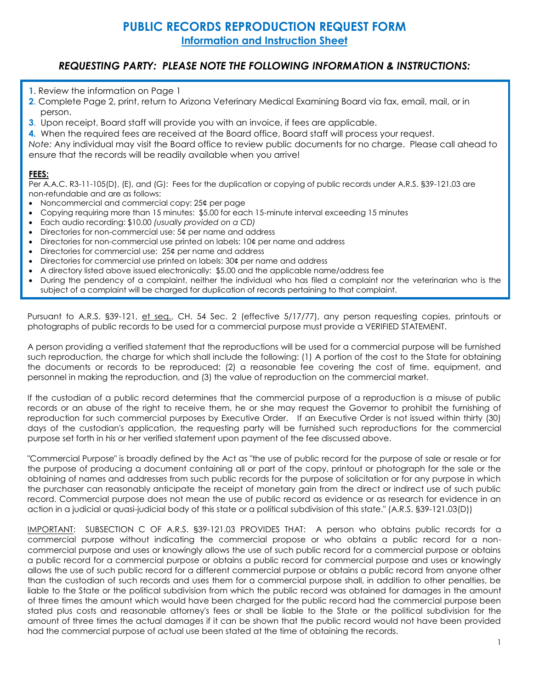## **PUBLIC RECORDS REPRODUCTION REQUEST FORM Information and Instruction Sheet**

## *REQUESTING PARTY: PLEASE NOTE THE FOLLOWING INFORMATION & INSTRUCTIONS:*

- **1**. Review the information on Page 1
- **2**. Complete Page 2, print, return to Arizona Veterinary Medical Examining Board via fax, email, mail, or in person.
- **3**. Upon receipt, Board staff will provide you with an invoice, if fees are applicable.
- **4.** When the required fees are received at the Board office, Board staff will process your request.

*Note:* Any individual may visit the Board office to review public documents for no charge. Please call ahead to ensure that the records will be readily available when you arrive!

## **FEES:**

Per A.A.C. R3-11-105(D), (E), and (G): Fees for the duplication or copying of public records under A.R.S. §39-121.03 are non-refundable and are as follows:

- Noncommercial and commercial copy: 25¢ per page
- Copying requiring more than 15 minutes: \$5.00 for each 15-minute interval exceeding 15 minutes
- Each audio recording: \$10.00 *(usually provided on a CD)*
- Directories for non-commercial use: 5¢ per name and address
- Directories for non-commercial use printed on labels: 10¢ per name and address
- Directories for commercial use: 25¢ per name and address
- Directories for commercial use printed on labels: 30¢ per name and address
- A directory listed above issued electronically: \$5.00 and the applicable name/address fee
- During the pendency of a complaint, neither the individual who has filed a complaint nor the veterinarian who is the subject of a complaint will be charged for duplication of records pertaining to that complaint.

Pursuant to A.R.S. §39-121, et seq., CH. 54 Sec. 2 (effective 5/17/77), any person requesting copies, printouts or photographs of public records to be used for a commercial purpose must provide a VERIFIED STATEMENT.

A person providing a verified statement that the reproductions will be used for a commercial purpose will be furnished such reproduction, the charge for which shall include the following: (1) A portion of the cost to the State for obtaining the documents or records to be reproduced; (2) a reasonable fee covering the cost of time, equipment, and personnel in making the reproduction, and (3) the value of reproduction on the commercial market.

If the custodian of a public record determines that the commercial purpose of a reproduction is a misuse of public records or an abuse of the right to receive them, he or she may request the Governor to prohibit the furnishing of reproduction for such commercial purposes by Executive Order. If an Executive Order is not issued within thirty (30) days of the custodian's application, the requesting party will be furnished such reproductions for the commercial purpose set forth in his or her verified statement upon payment of the fee discussed above.

"Commercial Purpose" is broadly defined by the Act as "the use of public record for the purpose of sale or resale or for the purpose of producing a document containing all or part of the copy, printout or photograph for the sale or the obtaining of names and addresses from such public records for the purpose of solicitation or for any purpose in which the purchaser can reasonably anticipate the receipt of monetary gain from the direct or indirect use of such public record. Commercial purpose does not mean the use of public record as evidence or as research for evidence in an action in a judicial or quasi-judicial body of this state or a political subdivision of this state." (A.R.S. §39-121.03(D))

IMPORTANT: SUBSECTION C OF A.R.S. §39-121.03 PROVIDES THAT: A person who obtains public records for a commercial purpose without indicating the commercial propose or who obtains a public record for a noncommercial purpose and uses or knowingly allows the use of such public record for a commercial purpose or obtains a public record for a commercial purpose or obtains a public record for commercial purpose and uses or knowingly allows the use of such public record for a different commercial purpose or obtains a public record from anyone other than the custodian of such records and uses them for a commercial purpose shall, in addition to other penalties, be liable to the State or the political subdivision from which the public record was obtained for damages in the amount of three times the amount which would have been charged for the public record had the commercial purpose been stated plus costs and reasonable attorney's fees or shall be liable to the State or the political subdivision for the amount of three times the actual damages if it can be shown that the public record would not have been provided had the commercial purpose of actual use been stated at the time of obtaining the records.